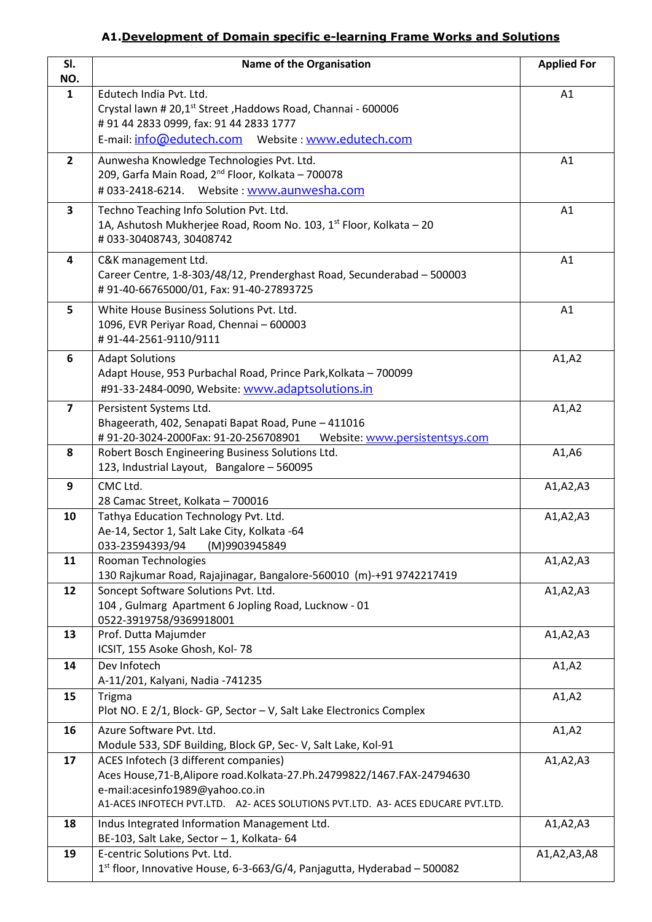## **A1.Development of Domain specific e-learning Frame Works and Solutions**

| SI.<br>NO.              | <b>Name of the Organisation</b>                                                                                                                                                                                                            | <b>Applied For</b> |
|-------------------------|--------------------------------------------------------------------------------------------------------------------------------------------------------------------------------------------------------------------------------------------|--------------------|
| $\mathbf{1}$            | Edutech India Pvt. Ltd.<br>Crystal lawn # 20,1 <sup>st</sup> Street, Haddows Road, Channai - 600006<br>#91 44 2833 0999, fax: 91 44 2833 1777<br>E-mail: info@edutech.com    Website: www.edutech.com                                      | A1                 |
| $\overline{2}$          |                                                                                                                                                                                                                                            | A1                 |
|                         | Aunwesha Knowledge Technologies Pvt. Ltd.<br>209, Garfa Main Road, 2 <sup>nd</sup> Floor, Kolkata - 700078<br>#033-2418-6214. Website: www.aunwesha.com                                                                                    |                    |
| 3                       | Techno Teaching Info Solution Pvt. Ltd.<br>1A, Ashutosh Mukherjee Road, Room No. 103, 1 <sup>st</sup> Floor, Kolkata - 20<br>#033-30408743, 30408742                                                                                       | A1                 |
| 4                       | C&K management Ltd.<br>Career Centre, 1-8-303/48/12, Prenderghast Road, Secunderabad - 500003<br>#91-40-66765000/01, Fax: 91-40-27893725                                                                                                   | A1                 |
| 5                       | White House Business Solutions Pvt. Ltd.<br>1096, EVR Periyar Road, Chennai - 600003<br>#91-44-2561-9110/9111                                                                                                                              | A1                 |
| 6                       | <b>Adapt Solutions</b><br>Adapt House, 953 Purbachal Road, Prince Park, Kolkata - 700099<br>#91-33-2484-0090, Website: www.adaptsolutions.in                                                                                               | A1, A2             |
| $\overline{\mathbf{z}}$ | Persistent Systems Ltd.<br>Bhageerath, 402, Senapati Bapat Road, Pune - 411016<br>#91-20-3024-2000Fax: 91-20-256708901<br>Website: www.persistentsys.com                                                                                   | A1, A2             |
| 8                       | Robert Bosch Engineering Business Solutions Ltd.<br>123, Industrial Layout, Bangalore - 560095                                                                                                                                             | A1, A6             |
| 9                       | CMC Ltd.<br>28 Camac Street, Kolkata - 700016                                                                                                                                                                                              | A1, A2, A3         |
| 10                      | Tathya Education Technology Pvt. Ltd.<br>Ae-14, Sector 1, Salt Lake City, Kolkata -64<br>033-23594393/94 (M)9903945849                                                                                                                     | A1, A2, A3         |
| 11                      | Rooman Technologies<br>130 Rajkumar Road, Rajajinagar, Bangalore-560010 (m)-+91 9742217419                                                                                                                                                 | A1, A2, A3         |
| 12                      | Soncept Software Solutions Pvt. Ltd.<br>104, Gulmarg Apartment 6 Jopling Road, Lucknow - 01<br>0522-3919758/9369918001                                                                                                                     | A1, A2, A3         |
| 13                      | Prof. Dutta Majumder<br>ICSIT, 155 Asoke Ghosh, Kol-78                                                                                                                                                                                     | A1, A2, A3         |
| 14                      | Dev Infotech<br>A-11/201, Kalyani, Nadia -741235                                                                                                                                                                                           | A1, A2             |
| 15                      | <b>Trigma</b><br>Plot NO. E 2/1, Block- GP, Sector - V, Salt Lake Electronics Complex                                                                                                                                                      | A1, A2             |
| 16                      | Azure Software Pvt. Ltd.<br>Module 533, SDF Building, Block GP, Sec-V, Salt Lake, Kol-91                                                                                                                                                   | A1, A2             |
| 17                      | ACES Infotech (3 different companies)<br>Aces House, 71-B, Alipore road. Kolkata-27. Ph. 24799822/1467. FAX-24794630<br>e-mail:acesinfo1989@yahoo.co.in<br>A1-ACES INFOTECH PVT.LTD. A2- ACES SOLUTIONS PVT.LTD. A3- ACES EDUCARE PVT.LTD. | A1, A2, A3         |
| 18                      | Indus Integrated Information Management Ltd.<br>BE-103, Salt Lake, Sector - 1, Kolkata- 64                                                                                                                                                 | A1, A2, A3         |
| 19                      | E-centric Solutions Pvt. Ltd.<br>1st floor, Innovative House, 6-3-663/G/4, Panjagutta, Hyderabad - 500082                                                                                                                                  | A1, A2, A3, A8     |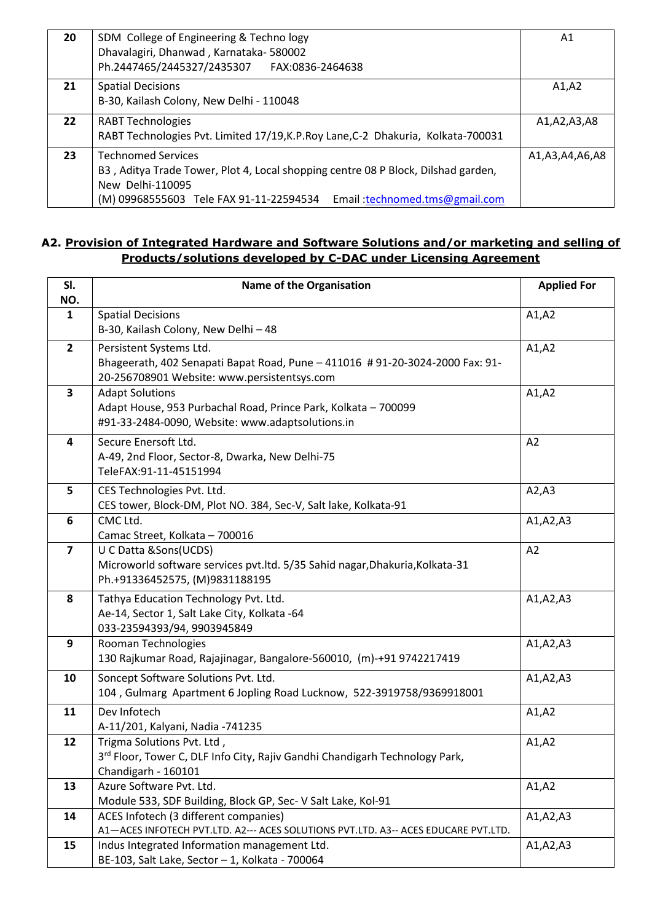| 20                | SDM College of Engineering & Techno logy                                          | Α1             |
|-------------------|-----------------------------------------------------------------------------------|----------------|
|                   | Dhavalagiri, Dhanwad, Karnataka-580002                                            |                |
|                   | Ph.2447465/2445327/2435307 FAX:0836-2464638                                       |                |
| 21                | <b>Spatial Decisions</b>                                                          | A1,A2          |
|                   | B-30, Kailash Colony, New Delhi - 110048                                          |                |
| $22 \overline{ }$ | <b>RABT Technologies</b>                                                          | A1,A2,A3,A8    |
|                   | RABT Technologies Pvt. Limited 17/19, K.P. Roy Lane, C-2 Dhakuria, Kolkata-700031 |                |
| 23                | <b>Technomed Services</b>                                                         | A1,A3,A4,A6,A8 |
|                   | B3, Aditya Trade Tower, Plot 4, Local shopping centre 08 P Block, Dilshad garden, |                |
|                   | New Delhi-110095                                                                  |                |
|                   | (M) 09968555603 Tele FAX 91-11-22594534<br>Email: technomed.tms@gmail.com         |                |

### **A2. Provision of Integrated Hardware and Software Solutions and/or marketing and selling of Products/solutions developed by C-DAC under Licensing Agreement**

| SI.<br>NO.              | <b>Name of the Organisation</b>                                                                                                                        | <b>Applied For</b> |
|-------------------------|--------------------------------------------------------------------------------------------------------------------------------------------------------|--------------------|
| $\mathbf{1}$            | <b>Spatial Decisions</b><br>B-30, Kailash Colony, New Delhi - 48                                                                                       | A1, A2             |
| $\overline{2}$          | Persistent Systems Ltd.<br>Bhageerath, 402 Senapati Bapat Road, Pune - 411016 #91-20-3024-2000 Fax: 91-<br>20-256708901 Website: www.persistentsys.com | A1, A2             |
| $\overline{\mathbf{3}}$ | <b>Adapt Solutions</b><br>Adapt House, 953 Purbachal Road, Prince Park, Kolkata - 700099<br>#91-33-2484-0090, Website: www.adaptsolutions.in           | A1, A2             |
| $\overline{\mathbf{4}}$ | Secure Enersoft Ltd.<br>A-49, 2nd Floor, Sector-8, Dwarka, New Delhi-75<br>TeleFAX:91-11-45151994                                                      | A2                 |
| 5                       | CES Technologies Pvt. Ltd.<br>CES tower, Block-DM, Plot NO. 384, Sec-V, Salt lake, Kolkata-91                                                          | A2, A3             |
| 6                       | CMC Ltd.<br>Camac Street, Kolkata - 700016                                                                                                             | A1, A2, A3         |
| $\overline{7}$          | U C Datta & Sons(UCDS)<br>Microworld software services pvt.ltd. 5/35 Sahid nagar, Dhakuria, Kolkata-31<br>Ph.+91336452575, (M)9831188195               | A2                 |
| 8                       | Tathya Education Technology Pvt. Ltd.<br>Ae-14, Sector 1, Salt Lake City, Kolkata -64<br>033-23594393/94, 9903945849                                   | A1, A2, A3         |
| 9                       | Rooman Technologies<br>130 Rajkumar Road, Rajajinagar, Bangalore-560010, (m)-+91 9742217419                                                            | A1, A2, A3         |
| 10                      | Soncept Software Solutions Pvt. Ltd.<br>104, Gulmarg Apartment 6 Jopling Road Lucknow, 522-3919758/9369918001                                          | A1, A2, A3         |
| 11                      | Dev Infotech<br>A-11/201, Kalyani, Nadia -741235                                                                                                       | A1, A2             |
| 12                      | Trigma Solutions Pvt. Ltd,<br>3 <sup>rd</sup> Floor, Tower C, DLF Info City, Rajiv Gandhi Chandigarh Technology Park,<br>Chandigarh - 160101           | A1, A2             |
| 13                      | Azure Software Pvt. Ltd.<br>Module 533, SDF Building, Block GP, Sec- V Salt Lake, Kol-91                                                               | A1, A2             |
| 14                      | ACES Infotech (3 different companies)<br>A1-ACES INFOTECH PVT.LTD. A2--- ACES SOLUTIONS PVT.LTD. A3-- ACES EDUCARE PVT.LTD.                            | A1, A2, A3         |
| 15                      | Indus Integrated Information management Ltd.<br>BE-103, Salt Lake, Sector - 1, Kolkata - 700064                                                        | A1, A2, A3         |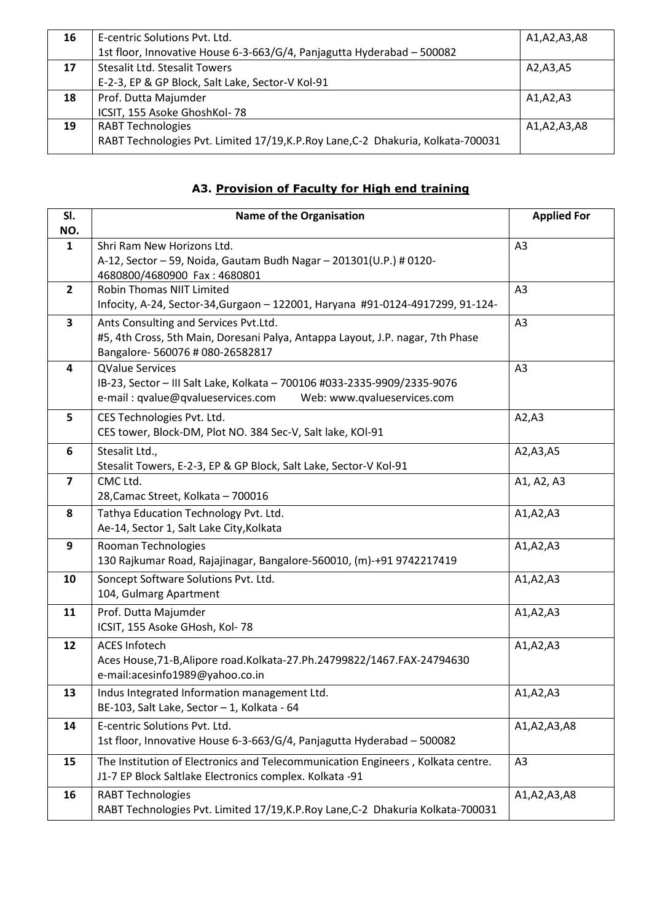| 16 | E-centric Solutions Pyt. Ltd.                                                     | A1,A2,A3,A8 |
|----|-----------------------------------------------------------------------------------|-------------|
|    | 1st floor, Innovative House 6-3-663/G/4, Panjagutta Hyderabad - 500082            |             |
| 17 | <b>Stesalit Ltd. Stesalit Towers</b>                                              | A2,A3,A5    |
|    | E-2-3, EP & GP Block, Salt Lake, Sector-V Kol-91                                  |             |
| 18 | Prof. Dutta Majumder                                                              | A1,A2,A3    |
|    | ICSIT, 155 Asoke GhoshKol-78                                                      |             |
| 19 | <b>RABT Technologies</b>                                                          | A1,A2,A3,A8 |
|    | RABT Technologies Pvt. Limited 17/19, K.P. Roy Lane, C-2 Dhakuria, Kolkata-700031 |             |

# **A3. Provision of Faculty for High end training**

| SI.                     | Name of the Organisation                                                                                                                                               | <b>Applied For</b> |
|-------------------------|------------------------------------------------------------------------------------------------------------------------------------------------------------------------|--------------------|
| NO.<br>$\mathbf{1}$     | Shri Ram New Horizons Ltd.<br>A-12, Sector - 59, Noida, Gautam Budh Nagar - 201301(U.P.) # 0120-                                                                       | A <sub>3</sub>     |
| $\overline{2}$          | 4680800/4680900 Fax: 4680801<br><b>Robin Thomas NIIT Limited</b><br>Infocity, A-24, Sector-34, Gurgaon - 122001, Haryana #91-0124-4917299, 91-124-                     | A3                 |
| $\overline{\mathbf{3}}$ | Ants Consulting and Services Pvt.Ltd.<br>#5, 4th Cross, 5th Main, Doresani Palya, Antappa Layout, J.P. nagar, 7th Phase<br>Bangalore- 560076 # 080-26582817            | A3                 |
| 4                       | <b>QValue Services</b><br>IB-23, Sector - III Salt Lake, Kolkata - 700106 #033-2335-9909/2335-9076<br>e-mail: qvalue@qvalueservices.com<br>Web: www.qvalueservices.com | A <sub>3</sub>     |
| 5                       | CES Technologies Pvt. Ltd.<br>CES tower, Block-DM, Plot NO. 384 Sec-V, Salt lake, KOI-91                                                                               | A2, A3             |
| 6                       | Stesalit Ltd.,<br>Stesalit Towers, E-2-3, EP & GP Block, Salt Lake, Sector-V Kol-91                                                                                    | A2, A3, A5         |
| $\overline{7}$          | CMC Ltd.<br>28, Camac Street, Kolkata - 700016                                                                                                                         | A1, A2, A3         |
| 8                       | Tathya Education Technology Pvt. Ltd.<br>Ae-14, Sector 1, Salt Lake City, Kolkata                                                                                      | A1, A2, A3         |
| 9                       | Rooman Technologies<br>130 Rajkumar Road, Rajajinagar, Bangalore-560010, (m)-+91 9742217419                                                                            | A1, A2, A3         |
| 10                      | Soncept Software Solutions Pvt. Ltd.<br>104, Gulmarg Apartment                                                                                                         | A1, A2, A3         |
| 11                      | Prof. Dutta Majumder<br>ICSIT, 155 Asoke GHosh, Kol-78                                                                                                                 | A1, A2, A3         |
| 12                      | <b>ACES Infotech</b><br>Aces House, 71-B, Alipore road. Kolkata-27. Ph. 24799822/1467. FAX-24794630<br>e-mail:acesinfo1989@yahoo.co.in                                 | A1, A2, A3         |
| 13                      | Indus Integrated Information management Ltd.<br>BE-103, Salt Lake, Sector - 1, Kolkata - 64                                                                            | A1, A2, A3         |
| 14                      | E-centric Solutions Pvt. Ltd.<br>1st floor, Innovative House 6-3-663/G/4, Panjagutta Hyderabad - 500082                                                                | A1,A2,A3,A8        |
| 15                      | The Institution of Electronics and Telecommunication Engineers, Kolkata centre.<br>J1-7 EP Block Saltlake Electronics complex. Kolkata -91                             | A3                 |
| 16                      | <b>RABT Technologies</b><br>RABT Technologies Pvt. Limited 17/19, K.P. Roy Lane, C-2 Dhakuria Kolkata-700031                                                           | A1, A2, A3, A8     |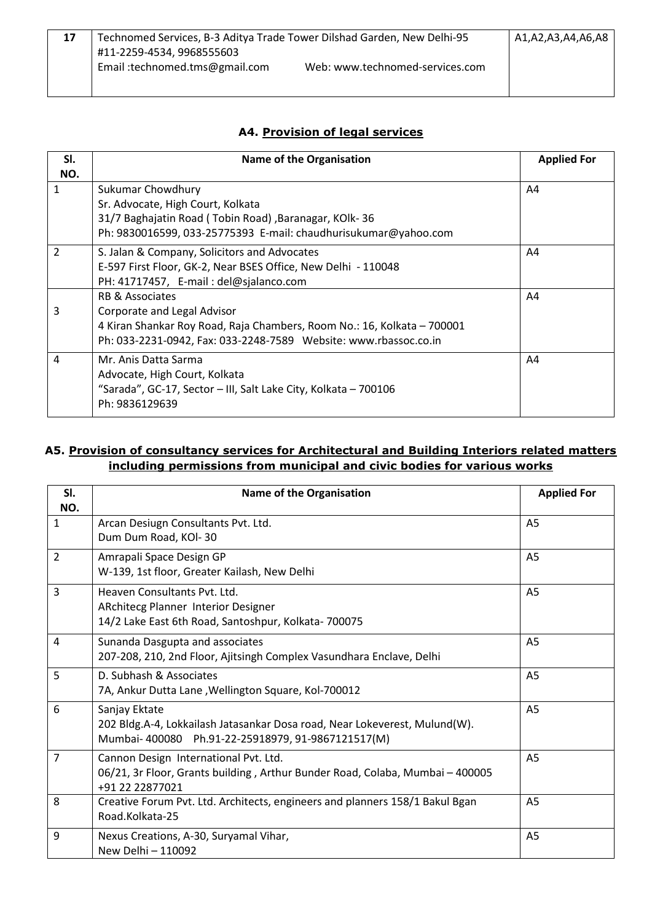| Technomed Services, B-3 Aditya Trade Tower Dilshad Garden, New Delhi-95 |                                 | A1,A2,A3,A4,A6,A8 |
|-------------------------------------------------------------------------|---------------------------------|-------------------|
| #11-2259-4534, 9968555603                                               |                                 |                   |
| Email: technomed.tms@gmail.com                                          | Web: www.technomed-services.com |                   |
|                                                                         |                                 |                   |

### **A4. Provision of legal services**

| SI.            | <b>Name of the Organisation</b>                                                                                                                                                               | <b>Applied For</b> |
|----------------|-----------------------------------------------------------------------------------------------------------------------------------------------------------------------------------------------|--------------------|
| NO.            |                                                                                                                                                                                               |                    |
| 1              | Sukumar Chowdhury<br>Sr. Advocate, High Court, Kolkata                                                                                                                                        | A4                 |
|                | 31/7 Baghajatin Road (Tobin Road), Baranagar, KOlk-36<br>Ph: 9830016599, 033-25775393 E-mail: chaudhurisukumar@yahoo.com                                                                      |                    |
| $\overline{2}$ | S. Jalan & Company, Solicitors and Advocates<br>E-597 First Floor, GK-2, Near BSES Office, New Delhi - 110048<br>PH: 41717457, E-mail: del@sjalanco.com                                       | A4                 |
| 3              | RB & Associates<br>Corporate and Legal Advisor<br>4 Kiran Shankar Roy Road, Raja Chambers, Room No.: 16, Kolkata - 700001<br>Ph: 033-2231-0942, Fax: 033-2248-7589 Website: www.rbassoc.co.in | A4                 |
| 4              | Mr. Anis Datta Sarma<br>Advocate, High Court, Kolkata<br>"Sarada", GC-17, Sector - III, Salt Lake City, Kolkata - 700106<br>Ph: 9836129639                                                    | A4                 |

#### **A5. Provision of consultancy services for Architectural and Building Interiors related matters including permissions from municipal and civic bodies for various works**

| SI.<br>NO.     | <b>Name of the Organisation</b>                                                                                                                  | <b>Applied For</b> |
|----------------|--------------------------------------------------------------------------------------------------------------------------------------------------|--------------------|
| $\mathbf{1}$   | Arcan Desiugn Consultants Pvt. Ltd.<br>Dum Dum Road, KOI-30                                                                                      | A <sub>5</sub>     |
| 2              | Amrapali Space Design GP<br>W-139, 1st floor, Greater Kailash, New Delhi                                                                         | A <sub>5</sub>     |
| $\overline{3}$ | Heaven Consultants Pvt. Ltd.<br>ARchitecg Planner Interior Designer<br>14/2 Lake East 6th Road, Santoshpur, Kolkata-700075                       | A <sub>5</sub>     |
| 4              | Sunanda Dasgupta and associates<br>207-208, 210, 2nd Floor, Ajitsingh Complex Vasundhara Enclave, Delhi                                          | A <sub>5</sub>     |
| 5              | D. Subhash & Associates<br>7A, Ankur Dutta Lane, Wellington Square, Kol-700012                                                                   | A <sub>5</sub>     |
| 6              | Sanjay Ektate<br>202 Bldg.A-4, Lokkailash Jatasankar Dosa road, Near Lokeverest, Mulund(W).<br>Mumbai-400080 Ph.91-22-25918979, 91-9867121517(M) | A <sub>5</sub>     |
| $\overline{7}$ | Cannon Design International Pvt. Ltd.<br>06/21, 3r Floor, Grants building, Arthur Bunder Road, Colaba, Mumbai - 400005<br>+91 22 22877021        | A <sub>5</sub>     |
| 8              | Creative Forum Pvt. Ltd. Architects, engineers and planners 158/1 Bakul Bgan<br>Road.Kolkata-25                                                  | A <sub>5</sub>     |
| 9              | Nexus Creations, A-30, Suryamal Vihar,<br>New Delhi - 110092                                                                                     | A <sub>5</sub>     |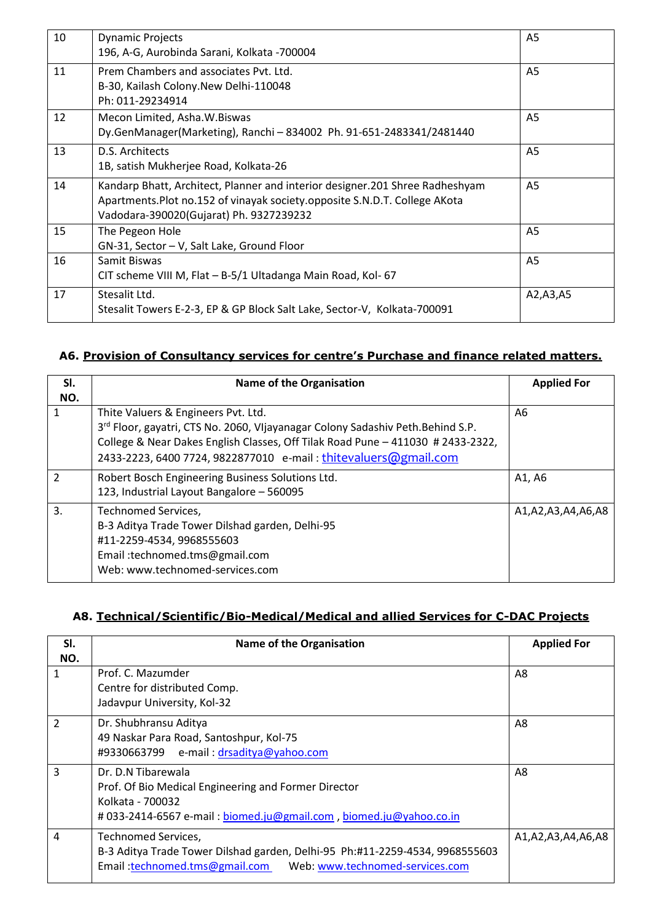| 10 | <b>Dynamic Projects</b><br>196, A-G, Aurobinda Sarani, Kolkata -700004                                                                                                                                | A <sub>5</sub> |
|----|-------------------------------------------------------------------------------------------------------------------------------------------------------------------------------------------------------|----------------|
| 11 | Prem Chambers and associates Pvt. Ltd.<br>B-30, Kailash Colony.New Delhi-110048<br>Ph: 011-29234914                                                                                                   | A <sub>5</sub> |
| 12 | Mecon Limited, Asha.W.Biswas<br>Dy.GenManager(Marketing), Ranchi - 834002 Ph. 91-651-2483341/2481440                                                                                                  | A <sub>5</sub> |
| 13 | D.S. Architects<br>1B, satish Mukherjee Road, Kolkata-26                                                                                                                                              | A <sub>5</sub> |
| 14 | Kandarp Bhatt, Architect, Planner and interior designer.201 Shree Radheshyam<br>Apartments. Plot no.152 of vinayak society.opposite S.N.D.T. College AKota<br>Vadodara-390020(Gujarat) Ph. 9327239232 | A <sub>5</sub> |
| 15 | The Pegeon Hole<br>GN-31, Sector - V, Salt Lake, Ground Floor                                                                                                                                         | A <sub>5</sub> |
| 16 | Samit Biswas<br>CIT scheme VIII M, Flat - B-5/1 Ultadanga Main Road, Kol- 67                                                                                                                          | A <sub>5</sub> |
| 17 | Stesalit Ltd.<br>Stesalit Towers E-2-3, EP & GP Block Salt Lake, Sector-V, Kolkata-700091                                                                                                             | A2,A3,A5       |

## **A6. Provision of Consultancy services for centre's Purchase and finance related matters.**

| SI.           | <b>Name of the Organisation</b>                                                 | <b>Applied For</b> |
|---------------|---------------------------------------------------------------------------------|--------------------|
| NO.           |                                                                                 |                    |
| 1             | Thite Valuers & Engineers Pvt. Ltd.                                             | A6                 |
|               | 3rd Floor, gayatri, CTS No. 2060, Vljayanagar Colony Sadashiv Peth.Behind S.P.  |                    |
|               | College & Near Dakes English Classes, Off Tilak Road Pune - 411030 # 2433-2322, |                    |
|               | 2433-2223, 6400 7724, 9822877010 e-mail: thitevaluers@gmail.com                 |                    |
| $\mathcal{P}$ | Robert Bosch Engineering Business Solutions Ltd.                                | A1, A6             |
|               | 123, Industrial Layout Bangalore - 560095                                       |                    |
| 3.            | Technomed Services,                                                             | A1,A2,A3,A4,A6,A8  |
|               | B-3 Aditya Trade Tower Dilshad garden, Delhi-95                                 |                    |
|               | #11-2259-4534, 9968555603                                                       |                    |
|               | Email:technomed.tms@gmail.com                                                   |                    |
|               | Web: www.technomed-services.com                                                 |                    |

#### **A8. Technical/Scientific/Bio-Medical/Medical and allied Services for C-DAC Projects**

| SI.      | <b>Name of the Organisation</b>                                                                                                                                         | <b>Applied For</b> |
|----------|-------------------------------------------------------------------------------------------------------------------------------------------------------------------------|--------------------|
| NO.<br>1 | Prof. C. Mazumder<br>Centre for distributed Comp.<br>Jadavpur University, Kol-32                                                                                        | A8                 |
| 2        | Dr. Shubhransu Aditya<br>49 Naskar Para Road, Santoshpur, Kol-75<br>#9330663799 e-mail: drsaditya@yahoo.com                                                             | A8                 |
| 3        | Dr. D.N Tibarewala<br>Prof. Of Bio Medical Engineering and Former Director<br>Kolkata - 700032<br>#033-2414-6567 e-mail: biomed.ju@gmail.com, biomed.ju@yahoo.co.in     | A8                 |
| 4        | Technomed Services,<br>B-3 Aditya Trade Tower Dilshad garden, Delhi-95 Ph:#11-2259-4534, 9968555603<br>Email:technomed.tms@gmail.com<br>Web: www.technomed-services.com | A1,A2,A3,A4,A6,A8  |